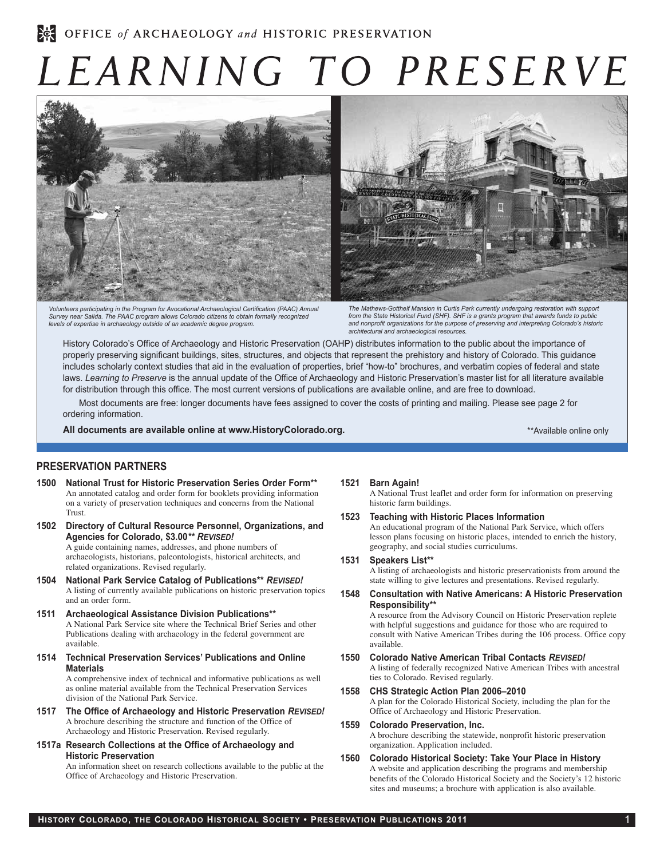# LEARNING TO PRESERVE



*Volunteers participating in the Program for Avocational Archaeological Certification (PAAC) Annual Survey near Salida. The PAAC program allows Colorado citizens to obtain formally recognized levels of expertise in archaeology outside of an academic degree program.*



*The Mathews-Gotthelf Mansion in Curtis Park currently undergoing restoration with support from the State Historical Fund (SHF). SHF is a grants program that awards funds to public and nonprofit organizations for the purpose of preserving and interpreting Colorado's historic architectural and archaeological resources.*

History Colorado's Office of Archaeology and Historic Preservation (OAHP) distributes information to the public about the importance of properly preserving significant buildings, sites, structures, and objects that represent the prehistory and history of Colorado. This guidance includes scholarly context studies that aid in the evaluation of properties, brief "how-to" brochures, and verbatim copies of federal and state laws. *Learning to Preserve* is the annual update of the Office of Archaeology and Historic Preservation's master list for all literature available for distribution through this office. The most current versions of publications are available online, and are free to download.

Most documents are free: longer documents have fees assigned to cover the costs of printing and mailing. Please see page 2 for ordering information.

**All documents are available online at www.HistoryColorado.org.**

\*\*Available online only

## **Preservation Partners**

- **1500 National Trust for Historic Preservation Series Order Form\*\*** An annotated catalog and order form for booklets providing information on a variety of preservation techniques and concerns from the National Trust.
- **1502 Directory of Cultural Resource Personnel, Organizations, and Agencies for Colorado, \$3.00***\*\* Revised!*

A guide containing names, addresses, and phone numbers of archaeologists, historians, paleontologists, historical architects, and related organizations. Revised regularly.

- **1504 National Park Service Catalog of Publications\*\*** *Revised!* A listing of currently available publications on historic preservation topics and an order form.
- **1511 Archaeological Assistance Division Publications\*\*** A National Park Service site where the Technical Brief Series and other Publications dealing with archaeology in the federal government are available.
- **1514 Technical Preservation Services' Publications and Online Materials**

A comprehensive index of technical and informative publications as well as online material available from the Technical Preservation Services division of the National Park Service.

- **1517 The Office of Archaeology and Historic Preservation** *Revised!* A brochure describing the structure and function of the Office of Archaeology and Historic Preservation. Revised regularly.
- **1517a Research Collections at the Office of Archaeology and Historic Preservation**

An information sheet on research collections available to the public at the Office of Archaeology and Historic Preservation.

#### **1521 Barn Again!**

A National Trust leaflet and order form for information on preserving historic farm buildings.

**1523 Teaching with Historic Places Information**

An educational program of the National Park Service, which offers lesson plans focusing on historic places, intended to enrich the history, geography, and social studies curriculums.

**1531 Speakers List\*\***

A listing of archaeologists and historic preservationists from around the state willing to give lectures and presentations. Revised regularly.

**1548 Consultation with Native Americans: A Historic Preservation Responsibility\*\***

A resource from the Advisory Council on Historic Preservation replete with helpful suggestions and guidance for those who are required to consult with Native American Tribes during the 106 process. Office copy available.

- **1550 Colorado Native American Tribal Contacts** *Revised!* A listing of federally recognized Native American Tribes with ancestral ties to Colorado. Revised regularly.
- **1558 CHS Strategic Action Plan 2006–2010** A plan for the Colorado Historical Society, including the plan for the Office of Archaeology and Historic Preservation.
- **1559 Colorado Preservation, Inc.** A brochure describing the statewide, nonprofit historic preservation organization. Application included.
- **1560 Colorado Historical Society: Take Your Place in History** A website and application describing the programs and membership benefits of the Colorado Historical Society and the Society's 12 historic sites and museums; a brochure with application is also available.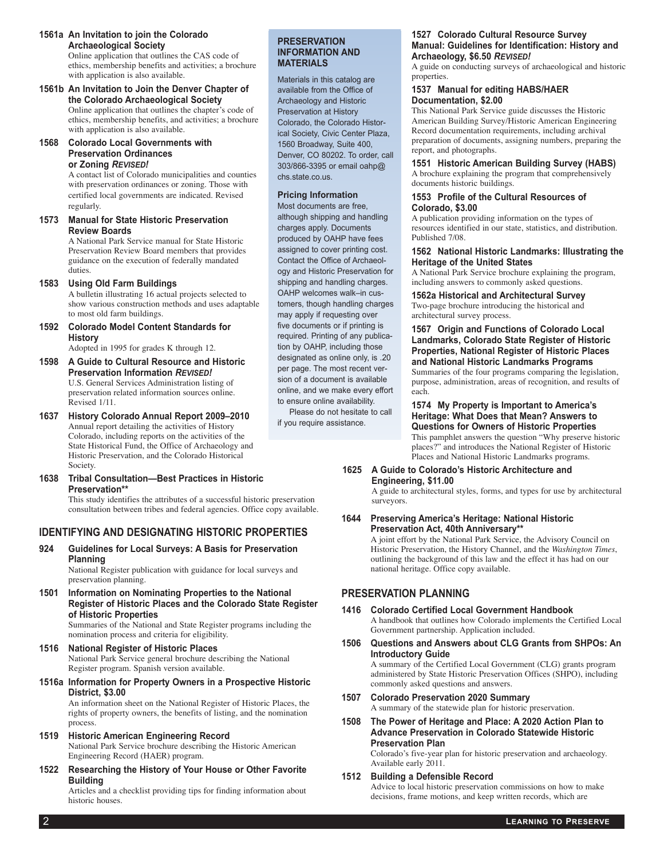**1561a An Invitation to join the Colorado Archaeological Society** Online application that outlines the CAS code of

ethics, membership benefits and activities; a brochure with application is also available.

- **1561b An Invitation to Join the Denver Chapter of the Colorado Archaeological Society** Online application that outlines the chapter's code of ethics, membership benefits, and activities; a brochure with application is also available.
- **1568 Colorado Local Governments with Preservation Ordinances or Zoning** *Revised!*

A contact list of Colorado municipalities and counties with preservation ordinances or zoning. Those with certified local governments are indicated. Revised regularly.

**1573 Manual for State Historic Preservation Review Boards**

A National Park Service manual for State Historic Preservation Review Board members that provides guidance on the execution of federally mandated duties.

**1583 Using Old Farm Buildings**

A bulletin illustrating 16 actual projects selected to show various construction methods and uses adaptable to most old farm buildings.

**1592 Colorado Model Content Standards for History**

Adopted in 1995 for grades K through 12.

- **1598 A Guide to Cultural Resource and Historic Preservation Information** *Revised!* U.S. General Services Administration listing of preservation related information sources online. Revised 1/11.
- **1637 History Colorado Annual Report 2009–2010** Annual report detailing the activities of History Colorado, including reports on the activities of the State Historical Fund, the Office of Archaeology and Historic Preservation, and the Colorado Historical Society.
- **1638 Tribal Consultation—Best Practices in Historic Preservation\*\***

This study identifies the attributes of a successful historic preservation consultation between tribes and federal agencies. Office copy available.

# **Identifying and Designating Historic Properties**

**924 Guidelines for Local Surveys: A Basis for Preservation Planning**

National Register publication with guidance for local surveys and preservation planning.

**1501 Information on Nominating Properties to the National Register of Historic Places and the Colorado State Register of Historic Properties**

Summaries of the National and State Register programs including the nomination process and criteria for eligibility.

- **1516 National Register of Historic Places** National Park Service general brochure describing the National Register program. Spanish version available.
- **1516a Information for Property Owners in a Prospective Historic District, \$3.00**

An information sheet on the National Register of Historic Places, the rights of property owners, the benefits of listing, and the nomination process.

- **1519 Historic American Engineering Record** National Park Service brochure describing the Historic American Engineering Record (HAER) program.
- **1522 Researching the History of Your House or Other Favorite Building**

Articles and a checklist providing tips for finding information about historic houses.

## **Preservation Information and Materials**

Materials in this catalog are available from the Office of Archaeology and Historic Preservation at History Colorado, the Colorado Historical Society, Civic Center Plaza, 1560 Broadway, Suite 400, Denver, CO 80202. To order, call 303/866-3395 or email oahp@ chs.state.co.us.

# **Pricing Information**

Most documents are free, although shipping and handling charges apply. Documents produced by OAHP have fees assigned to cover printing cost. Contact the Office of Archaeology and Historic Preservation for shipping and handling charges. OAHP welcomes walk–in customers, though handling charges may apply if requesting over five documents or if printing is required. Printing of any publication by OAHP, including those designated as online only, is .20 per page. The most recent version of a document is available online, and we make every effort to ensure online availability.

Please do not hesitate to call if you require assistance.

#### **1527 Colorado Cultural Resource Survey Manual: Guidelines for Identification: History and Archaeology, \$6.50** *Revised!*

A guide on conducting surveys of archaeological and historic properties.

#### **1537 Manual for editing HABS/HAER Documentation, \$2.00**

This National Park Service guide discusses the Historic American Building Survey/Historic American Engineering Record documentation requirements, including archival preparation of documents, assigning numbers, preparing the report, and photographs.

**1551 Historic American Building Survey (HABS)**

A brochure explaining the program that comprehensively documents historic buildings.

#### **1553 Profile of the Cultural Resources of Colorado, \$3.00**

A publication providing information on the types of resources identified in our state, statistics, and distribution. Published 7/08.

#### **1562 National Historic Landmarks: Illustrating the Heritage of the United States**

A National Park Service brochure explaining the program, including answers to commonly asked questions.

**1562a Historical and Architectural Survey** 

Two-page brochure introducing the historical and architectural survey process.

#### **1567 Origin and Functions of Colorado Local Landmarks, Colorado State Register of Historic Properties, National Register of Historic Places and National Historic Landmarks Programs** Summaries of the four programs comparing the legislation,

purpose, administration, areas of recognition, and results of each.

#### **1574 My Property is Important to America's Heritage: What Does that Mean? Answers to Questions for Owners of Historic Properties** This pamphlet answers the question "Why preserve historic places?" and introduces the National Register of Historic Places and National Historic Landmarks programs.

## **1625 A Guide to Colorado's Historic Architecture and Engineering, \$11.00**

A guide to architectural styles, forms, and types for use by architectural surveyors.

**1644 Preserving America's Heritage: National Historic Preservation Act, 40th Anniversary\*\***

A joint effort by the National Park Service, the Advisory Council on Historic Preservation, the History Channel, and the *Washington Times*, outlining the background of this law and the effect it has had on our national heritage. Office copy available.

# **Preservation Planning**

- **1416 Colorado Certified Local Government Handbook** A handbook that outlines how Colorado implements the Certified Local Government partnership. Application included.
- **1506 Questions and Answers about CLG Grants from SHPOs: An Introductory Guide** A summary of the Certified Local Government (CLG) grants program administered by State Historic Preservation Offices (SHPO), including commonly asked questions and answers.

## **1507 Colorado Preservation 2020 Summary**

A summary of the statewide plan for historic preservation.

**1508 The Power of Heritage and Place: A 2020 Action Plan to Advance Preservation in Colorado Statewide Historic Preservation Plan**

Colorado's five-year plan for historic preservation and archaeology. Available early 2011.

## **1512 Building a Defensible Record**

Advice to local historic preservation commissions on how to make decisions, frame motions, and keep written records, which are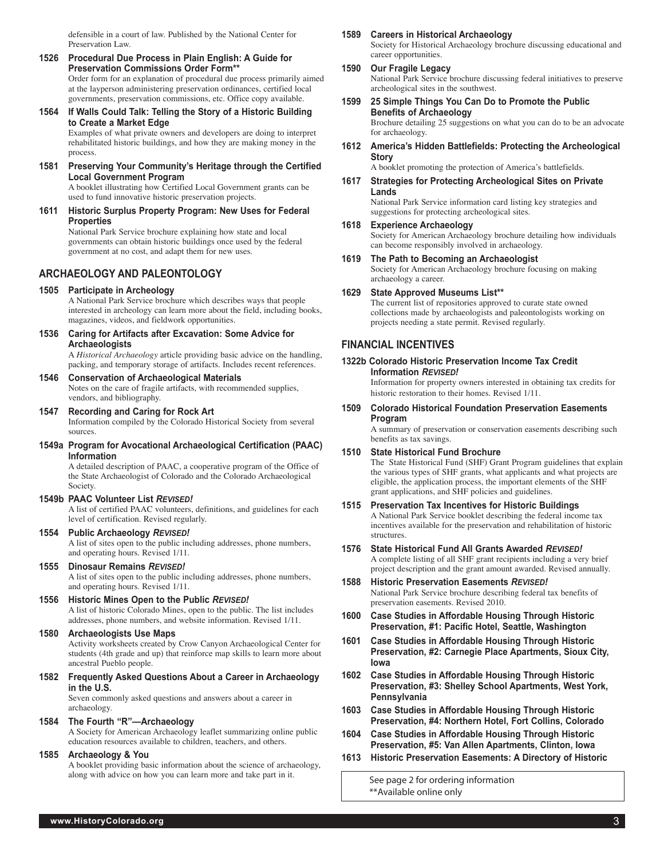defensible in a court of law. Published by the National Center for Preservation Law.

- **1526 Procedural Due Process in Plain English: A Guide for Preservation Commissions Order Form\*\*** Order form for an explanation of procedural due process primarily aimed at the layperson administering preservation ordinances, certified local governments, preservation commissions, etc. Office copy available.
- **1564 If Walls Could Talk: Telling the Story of a Historic Building to Create a Market Edge**

Examples of what private owners and developers are doing to interpret rehabilitated historic buildings, and how they are making money in the process.

**1581 Preserving Your Community's Heritage through the Certified Local Government Program**

A booklet illustrating how Certified Local Government grants can be used to fund innovative historic preservation projects.

**1611 Historic Surplus Property Program: New Uses for Federal Properties** National Park Service brochure explaining how state and local governments can obtain historic buildings once used by the federal

government at no cost, and adapt them for new uses.

**Archaeology and Paleontology**

**1505 Participate in Archeology**

A National Park Service brochure which describes ways that people interested in archeology can learn more about the field, including books, magazines, videos, and fieldwork opportunities.

**1536 Caring for Artifacts after Excavation: Some Advice for Archaeologists**

A *Historical Archaeology* article providing basic advice on the handling, packing, and temporary storage of artifacts. Includes recent references.

**1546 Conservation of Archaeological Materials** Notes on the care of fragile artifacts, with recommended supplies,

vendors, and bibliography.

**1547 Recording and Caring for Rock Art** Information compiled by the Colorado Historical Society from several sources.

**1549a Program for Avocational Archaeological Certification (PAAC) Information**

A detailed description of PAAC, a cooperative program of the Office of the State Archaeologist of Colorado and the Colorado Archaeological Society.

#### **1549b PAAC Volunteer List** *Revised!*

A list of certified PAAC volunteers, definitions, and guidelines for each level of certification. Revised regularly.

**1554 Public Archaeology** *Revised!*

A list of sites open to the public including addresses, phone numbers, and operating hours. Revised 1/11.

**1555 Dinosaur Remains** *Revised!*

A list of sites open to the public including addresses, phone numbers, and operating hours. Revised 1/11.

## **1556 Historic Mines Open to the Public** *Revised!*

A list of historic Colorado Mines, open to the public. The list includes addresses, phone numbers, and website information. Revised 1/11.

**1580 Archaeologists Use Maps**

Activity worksheets created by Crow Canyon Archaeological Center for students (4th grade and up) that reinforce map skills to learn more about ancestral Pueblo people.

**1582 Frequently Asked Questions About a Career in Archaeology in the U.S.**

> Seven commonly asked questions and answers about a career in archaeology.

# **1584 The Fourth "R"—Archaeology**

A Society for American Archaeology leaflet summarizing online public education resources available to children, teachers, and others.

### **1585 Archaeology & You**

A booklet providing basic information about the science of archaeology, along with advice on how you can learn more and take part in it.

### **1589 Careers in Historical Archaeology**

Society for Historical Archaeology brochure discussing educational and career opportunities.

- **1590 Our Fragile Legacy** National Park Service brochure discussing federal initiatives to preserve archeological sites in the southwest.
- **1599 25 Simple Things You Can Do to Promote the Public Benefits of Archaeology**

Brochure detailing 25 suggestions on what you can do to be an advocate for archaeology.

**1612 America's Hidden Battlefields: Protecting the Archeological Story**

A booklet promoting the protection of America's battlefields.

**1617 Strategies for Protecting Archeological Sites on Private Lands**

> National Park Service information card listing key strategies and suggestions for protecting archeological sites.

**1618 Experience Archaeology**

Society for American Archaeology brochure detailing how individuals can become responsibly involved in archaeology.

**1619 The Path to Becoming an Archaeologist**

Society for American Archaeology brochure focusing on making archaeology a career.

# **1629 State Approved Museums List\*\***

The current list of repositories approved to curate state owned collections made by archaeologists and paleontologists working on projects needing a state permit. Revised regularly.

# **Financial Incentives**

**1322b Colorado Historic Preservation Income Tax Credit Information** *Revised!*

Information for property owners interested in obtaining tax credits for historic restoration to their homes. Revised 1/11.

**1509 Colorado Historical Foundation Preservation Easements Program**

> A summary of preservation or conservation easements describing such benefits as tax savings.

# **1510 State Historical Fund Brochure** The State Historical Fund (SHF) Grant Program guidelines that explain

the various types of SHF grants, what applicants and what projects are eligible, the application process, the important elements of the SHF grant applications, and SHF policies and guidelines.

- **1515 Preservation Tax Incentives for Historic Buildings** A National Park Service booklet describing the federal income tax incentives available for the preservation and rehabilitation of historic structures.
- **1576 State Historical Fund All Grants Awarded** *Revised!* A complete listing of all SHF grant recipients including a very brief project description and the grant amount awarded. Revised annually.
- **1588 Historic Preservation Easements** *Revised!* National Park Service brochure describing federal tax benefits of preservation easements. Revised 2010.
- **1600 Case Studies in Affordable Housing Through Historic Preservation, #1: Pacific Hotel, Seattle, Washington**
- **1601 Case Studies in Affordable Housing Through Historic Preservation, #2: Carnegie Place Apartments, Sioux City, Iowa**
- **1602 Case Studies in Affordable Housing Through Historic Preservation, #3: Shelley School Apartments, West York, Pennsylvania**
- **1603 Case Studies in Affordable Housing Through Historic Preservation, #4: Northern Hotel, Fort Collins, Colorado**
- **1604 Case Studies in Affordable Housing Through Historic Preservation, #5: Van Allen Apartments, Clinton, Iowa**
- **1613 Historic Preservation Easements: A Directory of Historic**

See page 2 for ordering information \*\*Available online only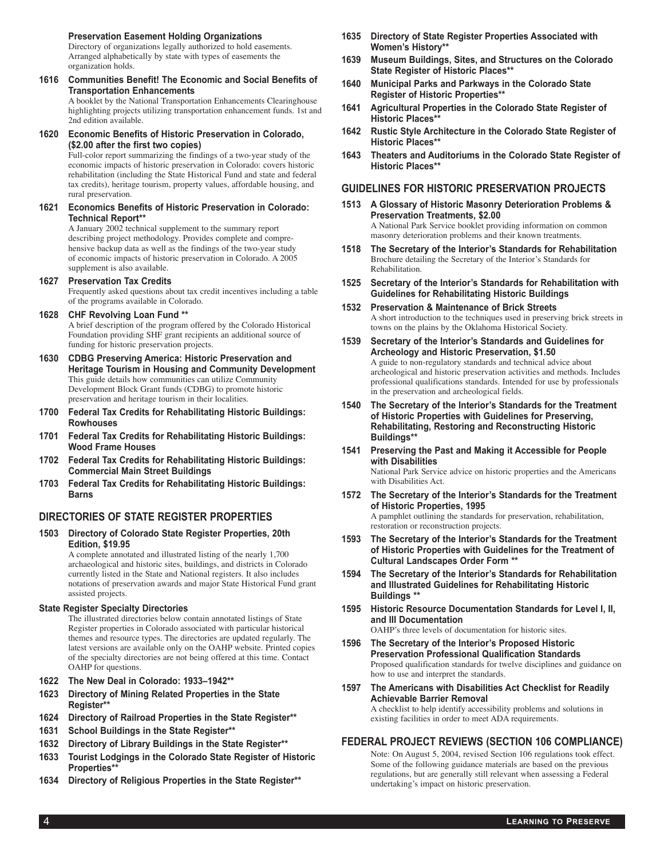### **Preservation Easement Holding Organizations**

Directory of organizations legally authorized to hold easements. Arranged alphabetically by state with types of easements the organization holds.

**1616 Communities Benefit! The Economic and Social Benefits of Transportation Enhancements**

A booklet by the National Transportation Enhancements Clearinghouse highlighting projects utilizing transportation enhancement funds. 1st and 2nd edition available.

#### **1620 Economic Benefits of Historic Preservation in Colorado, (\$2.00 after the first two copies)**

Full-color report summarizing the findings of a two-year study of the economic impacts of historic preservation in Colorado: covers historic rehabilitation (including the State Historical Fund and state and federal tax credits), heritage tourism, property values, affordable housing, and rural preservation.

#### **1621 Economics Benefits of Historic Preservation in Colorado: Technical Report\*\***

A January 2002 technical supplement to the summary report describing project methodology. Provides complete and comprehensive backup data as well as the findings of the two-year study of economic impacts of historic preservation in Colorado. A 2005 supplement is also available.

## **1627 Preservation Tax Credits**

Frequently asked questions about tax credit incentives including a table of the programs available in Colorado.

### **1628 CHF Revolving Loan Fund \*\***

A brief description of the program offered by the Colorado Historical Foundation providing SHF grant recipients an additional source of funding for historic preservation projects.

- **1630 CDBG Preserving America: Historic Preservation and Heritage Tourism in Housing and Community Development** This guide details how communities can utilize Community Development Block Grant funds (CDBG) to promote historic preservation and heritage tourism in their localities.
- **1700 Federal Tax Credits for Rehabilitating Historic Buildings: Rowhouses**
- **1701 Federal Tax Credits for Rehabilitating Historic Buildings: Wood Frame Houses**
- **1702 Federal Tax Credits for Rehabilitating Historic Buildings: Commercial Main Street Buildings**
- **1703 Federal Tax Credits for Rehabilitating Historic Buildings: Barns**

# **Directories of State Register Properties**

**1503 Directory of Colorado State Register Properties, 20th Edition, \$19.95** 

A complete annotated and illustrated listing of the nearly 1,700 archaeological and historic sites, buildings, and districts in Colorado currently listed in the State and National registers. It also includes notations of preservation awards and major State Historical Fund grant assisted projects.

#### **State Register Specialty Directories**

The illustrated directories below contain annotated listings of State Register properties in Colorado associated with particular historical themes and resource types. The directories are updated regularly. The latest versions are available only on the OAHP website. Printed copies of the specialty directories are not being offered at this time. Contact OAHP for questions.

- **1622 The New Deal in Colorado: 1933–1942\*\***
- **1623 Directory of Mining Related Properties in the State Register\*\***
- **1624 Directory of Railroad Properties in the State Register\*\***
- **1631 School Buildings in the State Register\*\***
- **1632 Directory of Library Buildings in the State Register\*\***
- **1633 Tourist Lodgings in the Colorado State Register of Historic Properties\*\***
- **1634 Directory of Religious Properties in the State Register\*\***
- **1635 Directory of State Register Properties Associated with Women's History\*\***
- **1639 Museum Buildings, Sites, and Structures on the Colorado State Register of Historic Places\*\***
- **1640 Municipal Parks and Parkways in the Colorado State Register of Historic Properties\*\***
- **1641 Agricultural Properties in the Colorado State Register of Historic Places\*\***
- **1642 Rustic Style Architecture in the Colorado State Register of Historic Places\*\***
- **1643 Theaters and Auditoriums in the Colorado State Register of Historic Places\*\***

## **Guidelines for Historic Preservation Projects**

- **1513 A Glossary of Historic Masonry Deterioration Problems & Preservation Treatments, \$2.00** A National Park Service booklet providing information on common masonry deterioration problems and their known treatments.
- **1518 The Secretary of the Interior's Standards for Rehabilitation** Brochure detailing the Secretary of the Interior's Standards for Rehabilitation.
- **1525 Secretary of the Interior's Standards for Rehabilitation with Guidelines for Rehabilitating Historic Buildings**
- **1532 Preservation & Maintenance of Brick Streets** A short introduction to the techniques used in preserving brick streets in towns on the plains by the Oklahoma Historical Society.
- **1539 Secretary of the Interior's Standards and Guidelines for Archeology and Historic Preservation, \$1.50** A guide to non-regulatory standards and technical advice about archeological and historic preservation activities and methods. Includes professional qualifications standards. Intended for use by professionals in the preservation and archeological fields.
- **1540 The Secretary of the Interior's Standards for the Treatment of Historic Properties with Guidelines for Preserving, Rehabilitating, Restoring and Reconstructing Historic Buildings\*\***
- **1541 Preserving the Past and Making it Accessible for People with Disabilities** National Park Service advice on historic properties and the Americans with Disabilities Act.
- **1572 The Secretary of the Interior's Standards for the Treatment of Historic Properties, 1995** A pamphlet outlining the standards for preservation, rehabilitation, restoration or reconstruction projects.
- **1593 The Secretary of the Interior's Standards for the Treatment of Historic Properties with Guidelines for the Treatment of Cultural Landscapes Order Form \*\***
- **1594 The Secretary of the Interior's Standards for Rehabilitation and Illustrated Guidelines for Rehabilitating Historic Buildings \*\***
- **1595 Historic Resource Documentation Standards for Level I, II, and III Documentation** OAHP's three levels of documentation for historic sites.
- **1596 The Secretary of the Interior's Proposed Historic Preservation Professional Qualification Standards** Proposed qualification standards for twelve disciplines and guidance on how to use and interpret the standards.
- **1597 The Americans with Disabilities Act Checklist for Readily Achievable Barrier Removal**

A checklist to help identify accessibility problems and solutions in existing facilities in order to meet ADA requirements.

## **Federal Project Reviews (Section 106 Compliance)**

Note: On August 5, 2004, revised Section 106 regulations took effect. Some of the following guidance materials are based on the previous regulations, but are generally still relevant when assessing a Federal undertaking's impact on historic preservation.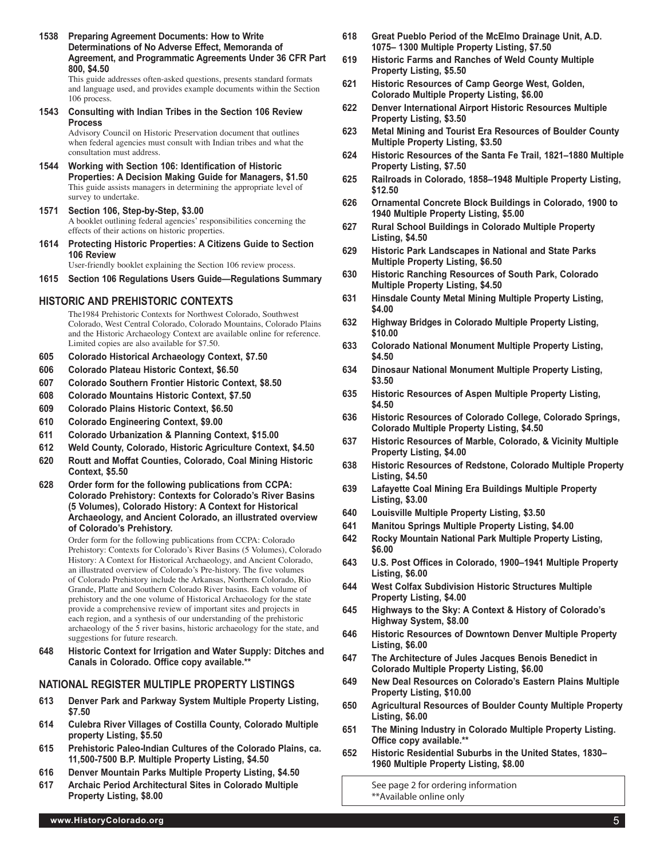**1538 Preparing Agreement Documents: How to Write Determinations of No Adverse Effect, Memoranda of Agreement, and Programmatic Agreements Under 36 CFR Part 800, \$4.50**

This guide addresses often-asked questions, presents standard formats and language used, and provides example documents within the Section 106 process.

**1543 Consulting with Indian Tribes in the Section 106 Review Process**

Advisory Council on Historic Preservation document that outlines when federal agencies must consult with Indian tribes and what the consultation must address.

- **1544 Working with Section 106: Identification of Historic Properties: A Decision Making Guide for Managers, \$1.50** This guide assists managers in determining the appropriate level of survey to undertake.
- **1571 Section 106, Step-by-Step, \$3.00** A booklet outlining federal agencies' responsibilities concerning the effects of their actions on historic properties.
- **1614 Protecting Historic Properties: A Citizens Guide to Section 106 Review**

User-friendly booklet explaining the Section 106 review process.

**1615 Section 106 Regulations Users Guide—Regulations Summary**

# **Historic and Prehistoric Contexts**

The1984 Prehistoric Contexts for Northwest Colorado, Southwest Colorado, West Central Colorado, Colorado Mountains, Colorado Plains and the Historic Archaeology Context are available online for reference. Limited copies are also available for \$7.50.

- **605 Colorado Historical Archaeology Context, \$7.50**
- **606 Colorado Plateau Historic Context, \$6.50**
- **607 Colorado Southern Frontier Historic Context, \$8.50**
- **608 Colorado Mountains Historic Context, \$7.50**
- **609 Colorado Plains Historic Context, \$6.50**
- **610 Colorado Engineering Context, \$9.00**
- **611 Colorado Urbanization & Planning Context, \$15.00**
- **612 Weld County, Colorado, Historic Agriculture Context, \$4.50**
- **620 Routt and Moffat Counties, Colorado, Coal Mining Historic Context, \$5.50**
- **628 Order form for the following publications from CCPA: Colorado Prehistory: Contexts for Colorado's River Basins (5 Volumes), Colorado History: A Context for Historical Archaeology, and Ancient Colorado, an illustrated overview of Colorado's Prehistory.**

Order form for the following publications from CCPA: Colorado Prehistory: Contexts for Colorado's River Basins (5 Volumes), Colorado History: A Context for Historical Archaeology, and Ancient Colorado, an illustrated overview of Colorado's Pre-history. The five volumes of Colorado Prehistory include the Arkansas, Northern Colorado, Rio Grande, Platte and Southern Colorado River basins. Each volume of prehistory and the one volume of Historical Archaeology for the state provide a comprehensive review of important sites and projects in each region, and a synthesis of our understanding of the prehistoric archaeology of the 5 river basins, historic archaeology for the state, and suggestions for future research.

**648 Historic Context for Irrigation and Water Supply: Ditches and Canals in Colorado. Office copy available.\*\***

# **NATIONAL REGISTER MULTIPLE PROPERTY LISTINGS**

- **613 Denver Park and Parkway System Multiple Property Listing, \$7.50**
- **614 Culebra River Villages of Costilla County, Colorado Multiple property Listing, \$5.50**
- **615 Prehistoric Paleo-Indian Cultures of the Colorado Plains, ca. 11,500-7500 B.P. Multiple Property Listing, \$4.50**
- **616 Denver Mountain Parks Multiple Property Listing, \$4.50**
- **617 Archaic Period Architectural Sites in Colorado Multiple Property Listing, \$8.00**
- **618 Great Pueblo Period of the McElmo Drainage Unit, A.D. 1075– 1300 Multiple Property Listing, \$7.50**
- **619 Historic Farms and Ranches of Weld County Multiple Property Listing, \$5.50**
- **621 Historic Resources of Camp George West, Golden, Colorado Multiple Property Listing, \$6.00**
- **622 Denver International Airport Historic Resources Multiple Property Listing, \$3.50**
- **623 Metal Mining and Tourist Era Resources of Boulder County Multiple Property Listing, \$3.50**
- **624 Historic Resources of the Santa Fe Trail, 1821–1880 Multiple Property Listing, \$7.50**
- **625 Railroads in Colorado, 1858–1948 Multiple Property Listing, \$12.50**
- **626 Ornamental Concrete Block Buildings in Colorado, 1900 to 1940 Multiple Property Listing, \$5.00**
- **627 Rural School Buildings in Colorado Multiple Property Listing, \$4.50**
- **629 Historic Park Landscapes in National and State Parks Multiple Property Listing, \$6.50**
- **630 Historic Ranching Resources of South Park, Colorado Multiple Property Listing, \$4.50**
- **631 Hinsdale County Metal Mining Multiple Property Listing, \$4.00**
- **632 Highway Bridges in Colorado Multiple Property Listing, \$10.00**
- **633 Colorado National Monument Multiple Property Listing, \$4.50**
- **634 Dinosaur National Monument Multiple Property Listing, \$3.50**
- **635 Historic Resources of Aspen Multiple Property Listing, \$4.50**
- **636 Historic Resources of Colorado College, Colorado Springs, Colorado Multiple Property Listing, \$4.50**
- **637 Historic Resources of Marble, Colorado, & Vicinity Multiple Property Listing, \$4.00**
- **638 Historic Resources of Redstone, Colorado Multiple Property Listing, \$4.50**
- **639 Lafayette Coal Mining Era Buildings Multiple Property Listing, \$3.00**
- **640 Louisville Multiple Property Listing, \$3.50**
- **641 Manitou Springs Multiple Property Listing, \$4.00**
- **642 Rocky Mountain National Park Multiple Property Listing, \$6.00**
- **643 U.S. Post Offices in Colorado, 1900–1941 Multiple Property Listing, \$6.00**
- **644 West Colfax Subdivision Historic Structures Multiple Property Listing, \$4.00**
- **645 Highways to the Sky: A Context & History of Colorado's Highway System, \$8.00**
- **646 Historic Resources of Downtown Denver Multiple Property Listing, \$6.00**
- **647 The Architecture of Jules Jacques Benois Benedict in Colorado Multiple Property Listing, \$6.00**
- **649 New Deal Resources on Colorado's Eastern Plains Multiple Property Listing, \$10.00**
- **650 Agricultural Resources of Boulder County Multiple Property Listing, \$6.00**
- **651 The Mining Industry in Colorado Multiple Property Listing. Office copy available.\*\***
- **652 Historic Residential Suburbs in the United States, 1830– 1960 Multiple Property Listing, \$8.00**

See page 2 for ordering information \*\*Available online only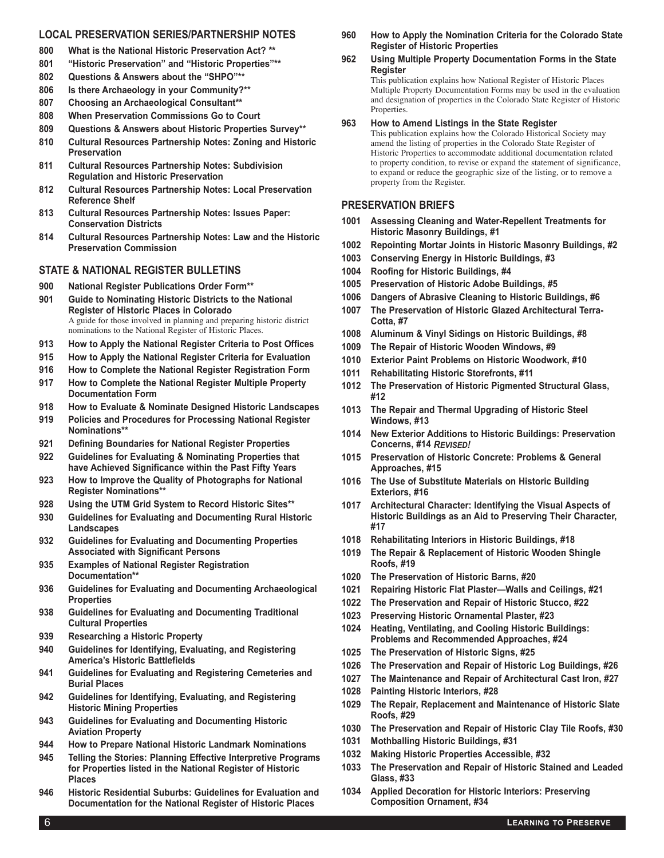# **Local Preservation Series/Partnership Notes**

- **800 What is the National Historic Preservation Act? \*\***
- **801 "Historic Preservation" and "Historic Properties"\*\***
- **802 Questions & Answers about the "SHPO"\*\***
- **806 Is there Archaeology in your Community?\*\***
- **807 Choosing an Archaeological Consultant\*\***
- **808 When Preservation Commissions Go to Court**
- **809 Questions & Answers about Historic Properties Survey\*\***
- **810 Cultural Resources Partnership Notes: Zoning and Historic Preservation**
- **811 Cultural Resources Partnership Notes: Subdivision Regulation and Historic Preservation**
- **812 Cultural Resources Partnership Notes: Local Preservation Reference Shelf**
- **813 Cultural Resources Partnership Notes: Issues Paper: Conservation Districts**
- **814 Cultural Resources Partnership Notes: Law and the Historic Preservation Commission**

# **State & National Register Bulletins**

- **900 National Register Publications Order Form\*\***
- **901 Guide to Nominating Historic Districts to the National Register of Historic Places in Colorado** A guide for those involved in planning and preparing historic district nominations to the National Register of Historic Places.
- **913 How to Apply the National Register Criteria to Post Offices**
- **915 How to Apply the National Register Criteria for Evaluation**
- **916 How to Complete the National Register Registration Form**
- **917 How to Complete the National Register Multiple Property Documentation Form**
- **918 How to Evaluate & Nominate Designed Historic Landscapes**
- **919 Policies and Procedures for Processing National Register Nominations\*\***
- **921 Defining Boundaries for National Register Properties**
- **922 Guidelines for Evaluating & Nominating Properties that have Achieved Significance within the Past Fifty Years**
- **923 How to Improve the Quality of Photographs for National Register Nominations\*\***
- **928 Using the UTM Grid System to Record Historic Sites\*\***
- **930 Guidelines for Evaluating and Documenting Rural Historic Landscapes**
- **932 Guidelines for Evaluating and Documenting Properties Associated with Significant Persons**
- **935 Examples of National Register Registration Documentation\*\***
- **936 Guidelines for Evaluating and Documenting Archaeological Properties**
- **938 Guidelines for Evaluating and Documenting Traditional Cultural Properties**
- **939 Researching a Historic Property**
- **940 Guidelines for Identifying, Evaluating, and Registering America's Historic Battlefields**
- **941 Guidelines for Evaluating and Registering Cemeteries and Burial Places**
- **942 Guidelines for Identifying, Evaluating, and Registering Historic Mining Properties**
- **943 Guidelines for Evaluating and Documenting Historic Aviation Property**
- **944 How to Prepare National Historic Landmark Nominations**
- **945 Telling the Stories: Planning Effective Interpretive Programs for Properties listed in the National Register of Historic Places**
- **946 Historic Residential Suburbs: Guidelines for Evaluation and Documentation for the National Register of Historic Places**

**960 How to Apply the Nomination Criteria for the Colorado State Register of Historic Properties**

## **962 Using Multiple Property Documentation Forms in the State Register**

This publication explains how National Register of Historic Places Multiple Property Documentation Forms may be used in the evaluation and designation of properties in the Colorado State Register of Historic Properties.

### **963 How to Amend Listings in the State Register**

This publication explains how the Colorado Historical Society may amend the listing of properties in the Colorado State Register of Historic Properties to accommodate additional documentation related to property condition, to revise or expand the statement of significance, to expand or reduce the geographic size of the listing, or to remove a property from the Register.

# **Preservation Briefs**

- **1001 Assessing Cleaning and Water-Repellent Treatments for Historic Masonry Buildings, #1**
- **1002 Repointing Mortar Joints in Historic Masonry Buildings, #2**
- **1003 Conserving Energy in Historic Buildings, #3**
- **1004 Roofing for Historic Buildings, #4**
- **1005 Preservation of Historic Adobe Buildings, #5**
- **1006 Dangers of Abrasive Cleaning to Historic Buildings, #6**
- **1007 The Preservation of Historic Glazed Architectural Terra-Cotta, #7**
- **1008 Aluminum & Vinyl Sidings on Historic Buildings, #8**
- **1009 The Repair of Historic Wooden Windows, #9**
- **1010 Exterior Paint Problems on Historic Woodwork, #10**
- **1011 Rehabilitating Historic Storefronts, #11**
- **1012 The Preservation of Historic Pigmented Structural Glass, #12**
- **1013 The Repair and Thermal Upgrading of Historic Steel Windows, #13**
- **1014 New Exterior Additions to Historic Buildings: Preservation Concerns, #14** *Revised!*
- **1015 Preservation of Historic Concrete: Problems & General Approaches, #15**
- **1016 The Use of Substitute Materials on Historic Building Exteriors, #16**
- **1017 Architectural Character: Identifying the Visual Aspects of Historic Buildings as an Aid to Preserving Their Character, #17**
- **1018 Rehabilitating Interiors in Historic Buildings, #18**
- **1019 The Repair & Replacement of Historic Wooden Shingle Roofs, #19**
- **1020 The Preservation of Historic Barns, #20**
- **1021 Repairing Historic Flat Plaster—Walls and Ceilings, #21**
- **1022 The Preservation and Repair of Historic Stucco, #22**
- **1023 Preserving Historic Ornamental Plaster, #23**
- **1024 Heating, Ventilating, and Cooling Historic Buildings: Problems and Recommended Approaches, #24**
- **1025 The Preservation of Historic Signs, #25**
- **1026 The Preservation and Repair of Historic Log Buildings, #26**
- **1027 The Maintenance and Repair of Architectural Cast Iron, #27**
- **1028 Painting Historic Interiors, #28**
- **1029 The Repair, Replacement and Maintenance of Historic Slate Roofs, #29**
- **1030 The Preservation and Repair of Historic Clay Tile Roofs, #30**
- **1031 Mothballing Historic Buildings, #31**
- **1032 Making Historic Properties Accessible, #32**
- **1033 The Preservation and Repair of Historic Stained and Leaded Glass, #33**
- **1034 Applied Decoration for Historic Interiors: Preserving Composition Ornament, #34**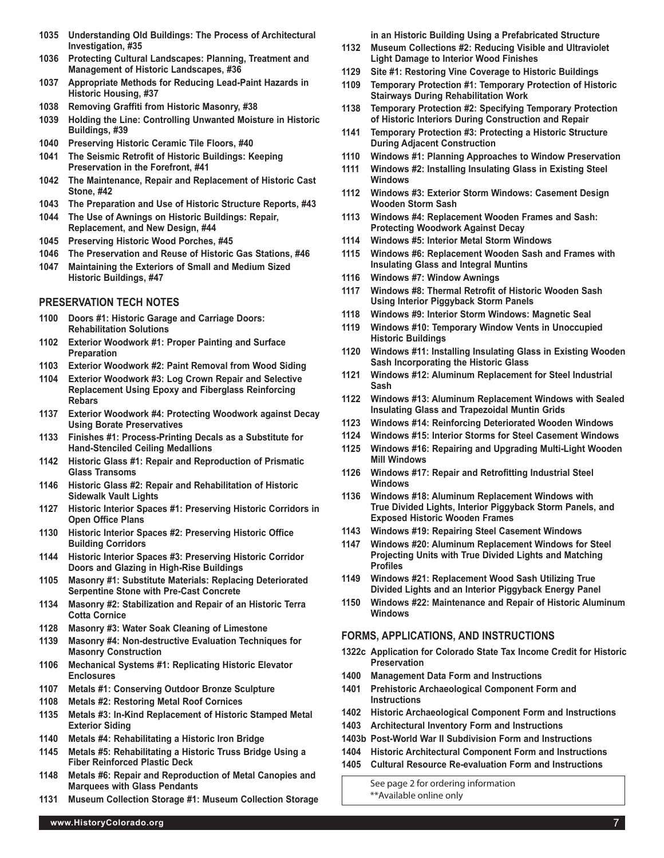- **1035 Understanding Old Buildings: The Process of Architectural Investigation, #35**
- **1036 Protecting Cultural Landscapes: Planning, Treatment and Management of Historic Landscapes, #36**
- **1037 Appropriate Methods for Reducing Lead-Paint Hazards in Historic Housing, #37**
- **1038 Removing Graffiti from Historic Masonry, #38**
- **1039 Holding the Line: Controlling Unwanted Moisture in Historic Buildings, #39**
- **1040 Preserving Historic Ceramic Tile Floors, #40**
- **1041 The Seismic Retrofit of Historic Buildings: Keeping Preservation in the Forefront, #41**
- **1042 The Maintenance, Repair and Replacement of Historic Cast Stone, #42**
- **1043 The Preparation and Use of Historic Structure Reports, #43**
- **1044 The Use of Awnings on Historic Buildings: Repair, Replacement, and New Design, #44**
- **1045 Preserving Historic Wood Porches, #45**
- **1046 The Preservation and Reuse of Historic Gas Stations, #46**
- **1047 Maintaining the Exteriors of Small and Medium Sized Historic Buildings, #47**

#### **Preservation Tech Notes**

- **1100 Doors #1: Historic Garage and Carriage Doors: Rehabilitation Solutions**
- **1102 Exterior Woodwork #1: Proper Painting and Surface Preparation**
- **1103 Exterior Woodwork #2: Paint Removal from Wood Siding**
- **1104 Exterior Woodwork #3: Log Crown Repair and Selective Replacement Using Epoxy and Fiberglass Reinforcing Rebars**
- **1137 Exterior Woodwork #4: Protecting Woodwork against Decay Using Borate Preservatives**
- **1133 Finishes #1: Process-Printing Decals as a Substitute for Hand-Stenciled Ceiling Medallions**
- **1142 Historic Glass #1: Repair and Reproduction of Prismatic Glass Transoms**
- **1146 Historic Glass #2: Repair and Rehabilitation of Historic Sidewalk Vault Lights**
- **1127 Historic Interior Spaces #1: Preserving Historic Corridors in Open Office Plans**
- **1130 Historic Interior Spaces #2: Preserving Historic Office Building Corridors**
- **1144 Historic Interior Spaces #3: Preserving Historic Corridor Doors and Glazing in High-Rise Buildings**
- **1105 Masonry #1: Substitute Materials: Replacing Deteriorated Serpentine Stone with Pre-Cast Concrete**
- **1134 Masonry #2: Stabilization and Repair of an Historic Terra Cotta Cornice**
- **1128 Masonry #3: Water Soak Cleaning of Limestone**
- **1139 Masonry #4: Non-destructive Evaluation Techniques for Masonry Construction**
- **1106 Mechanical Systems #1: Replicating Historic Elevator Enclosures**
- **1107 Metals #1: Conserving Outdoor Bronze Sculpture**
- **1108 Metals #2: Restoring Metal Roof Cornices**
- **1135 Metals #3: In-Kind Replacement of Historic Stamped Metal Exterior Siding**
- **1140 Metals #4: Rehabilitating a Historic Iron Bridge**
- **1145 Metals #5: Rehabilitating a Historic Truss Bridge Using a Fiber Reinforced Plastic Deck**
- **1148 Metals #6: Repair and Reproduction of Metal Canopies and Marquees with Glass Pendants**
- **1131 Museum Collection Storage #1: Museum Collection Storage**

**in an Historic Building Using a Prefabricated Structure**

- **1132 Museum Collections #2: Reducing Visible and Ultraviolet Light Damage to Interior Wood Finishes**
- **1129 Site #1: Restoring Vine Coverage to Historic Buildings**
- **1109 Temporary Protection #1: Temporary Protection of Historic Stairways During Rehabilitation Work**
- **1138 Temporary Protection #2: Specifying Temporary Protection of Historic Interiors During Construction and Repair**
- **1141 Temporary Protection #3: Protecting a Historic Structure During Adjacent Construction**
- **1110 Windows #1: Planning Approaches to Window Preservation**
- **1111 Windows #2: Installing Insulating Glass in Existing Steel Windows**
- **1112 Windows #3: Exterior Storm Windows: Casement Design Wooden Storm Sash**
- **1113 Windows #4: Replacement Wooden Frames and Sash: Protecting Woodwork Against Decay**
- **1114 Windows #5: Interior Metal Storm Windows**
- **1115 Windows #6: Replacement Wooden Sash and Frames with Insulating Glass and Integral Muntins**
- **1116 Windows #7: Window Awnings**
- **1117 Windows #8: Thermal Retrofit of Historic Wooden Sash Using Interior Piggyback Storm Panels**
- **1118 Windows #9: Interior Storm Windows: Magnetic Seal**
- **1119 Windows #10: Temporary Window Vents in Unoccupied Historic Buildings**
- **1120 Windows #11: Installing Insulating Glass in Existing Wooden Sash Incorporating the Historic Glass**
- **1121 Windows #12: Aluminum Replacement for Steel Industrial Sash**
- **1122 Windows #13: Aluminum Replacement Windows with Sealed Insulating Glass and Trapezoidal Muntin Grids**
- **1123 Windows #14: Reinforcing Deteriorated Wooden Windows**
- **1124 Windows #15: Interior Storms for Steel Casement Windows**
- **1125 Windows #16: Repairing and Upgrading Multi-Light Wooden Mill Windows**
- **1126 Windows #17: Repair and Retrofitting Industrial Steel Windows**
- **1136 Windows #18: Aluminum Replacement Windows with True Divided Lights, Interior Piggyback Storm Panels, and Exposed Historic Wooden Frames**
- **1143 Windows #19: Repairing Steel Casement Windows**
- **1147 Windows #20: Aluminum Replacement Windows for Steel Projecting Units with True Divided Lights and Matching Profiles**
- **1149 Windows #21: Replacement Wood Sash Utilizing True Divided Lights and an Interior Piggyback Energy Panel**
- **1150 Windows #22: Maintenance and Repair of Historic Aluminum Windows**

#### **Forms, Applications, and Instructions**

- **1322c Application for Colorado State Tax Income Credit for Historic Preservation**
- **1400 Management Data Form and Instructions**
- **1401 Prehistoric Archaeological Component Form and Instructions**
- **1402 Historic Archaeological Component Form and Instructions**
- **1403 Architectural Inventory Form and Instructions**
- **1403b Post-World War II Subdivision Form and Instructions**
- **1404 Historic Architectural Component Form and Instructions**
- **1405 Cultural Resource Re-evaluation Form and Instructions**

See page 2 for ordering information \*\*Available online only